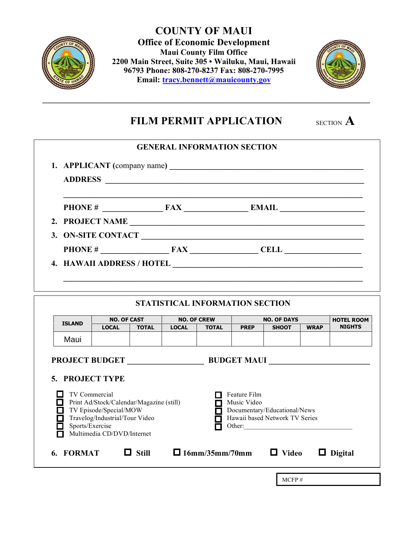

Maui

**COUNTY OF MAUI Office of Economic Development Maui County Film Office 2200 Main Street, Suite 305 • Wailuku, Maui, Hawaii 96793 Phone: 808-270-8237 Fax: 808-270-7995 Email:** *tracy.bennett@mauicounty.gov* 



# **FILM PERMIT APPLICATION** SECTION **A**

**\_\_\_\_\_\_\_\_\_\_\_\_\_\_\_\_\_\_\_\_\_\_\_\_\_\_\_\_\_\_\_\_\_\_\_\_\_\_\_\_\_\_\_\_\_\_\_\_\_\_\_\_\_\_\_\_\_\_\_\_\_\_\_\_\_\_\_\_\_\_\_\_\_\_\_\_\_\_\_\_\_**

|                                                                                 |                 |              |              |  | <b>GENERAL INFORMATION SECTION</b>     |      |                                                                                                                        |             |               |  |
|---------------------------------------------------------------------------------|-----------------|--------------|--------------|--|----------------------------------------|------|------------------------------------------------------------------------------------------------------------------------|-------------|---------------|--|
|                                                                                 |                 |              |              |  |                                        |      |                                                                                                                        |             |               |  |
|                                                                                 | <b>ADDRESS</b>  |              |              |  |                                        |      | <u> 1989 - Johann Barn, mars ann an t-Amhain ann an t-Amhain ann an t-Amhain ann an t-Amhain an t-Amhain ann an t-</u> |             |               |  |
|                                                                                 |                 |              |              |  |                                        |      |                                                                                                                        |             |               |  |
|                                                                                 | 2. PROJECT NAME |              |              |  |                                        |      |                                                                                                                        |             |               |  |
|                                                                                 |                 |              |              |  |                                        |      |                                                                                                                        |             |               |  |
|                                                                                 |                 |              |              |  |                                        |      |                                                                                                                        |             |               |  |
|                                                                                 |                 |              |              |  |                                        |      |                                                                                                                        |             |               |  |
|                                                                                 |                 |              |              |  |                                        |      |                                                                                                                        |             |               |  |
|                                                                                 |                 |              |              |  |                                        |      |                                                                                                                        |             |               |  |
|                                                                                 |                 |              |              |  | <b>STATISTICAL INFORMATION SECTION</b> |      |                                                                                                                        |             |               |  |
| <b>NO. OF CAST</b><br><b>NO. OF CREW</b><br><b>NO. OF DAYS</b><br><b>ISLAND</b> |                 |              |              |  |                                        |      | <b>HOTEL ROOM</b>                                                                                                      |             |               |  |
|                                                                                 |                 | <b>LOCAL</b> | <b>TOTAL</b> |  | LOCAL   TOTAL                          | PREP | <b>SHOOT</b>                                                                                                           | <b>WRAP</b> | <b>NIGHTS</b> |  |

| <b>PROJECT BUDGET</b><br><b>5. PROJECT TYPE</b>            |                                                                                                          | <b>BUDGET MAUI</b>                    |                                                                |                |
|------------------------------------------------------------|----------------------------------------------------------------------------------------------------------|---------------------------------------|----------------------------------------------------------------|----------------|
| TV Commercial<br>TV Episode/Special/MOW<br>Sports/Exercise | Print Ad/Stock/Calendar/Magazine (still)<br>Travelog/Industrial/Tour Video<br>Multimedia CD/DVD/Internet | Feature Film<br>Music Video<br>Other: | Documentary/Educational/News<br>Hawaii based Network TV Series |                |
| <b>FORMAT</b>                                              | <b>Still</b>                                                                                             | $\Box$ 16mm/35mm/70mm                 | $\Box$ Video                                                   | <b>Digital</b> |
|                                                            |                                                                                                          |                                       | MCFP#                                                          |                |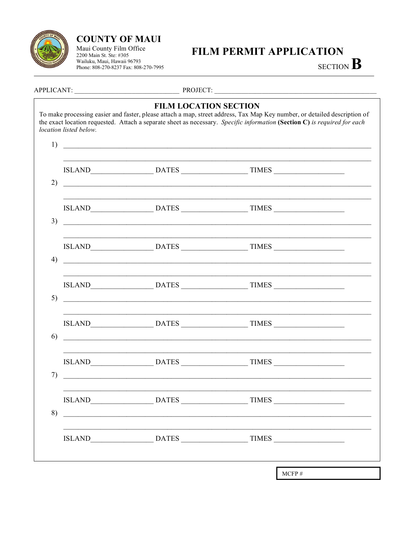

# **COUNTY OF MAUI**

Maui County Film Office 2200 Main St. Ste: #305 Wailuku, Maui, Hawaii 96793 Phone: 808-270-8237 Fax: 808-270-7995

# **FILM PERMIT APPLICATION**

SECTION B

APPLICANT:

PROJECT:

### **FILM LOCATION SECTION**

To make processing easier and faster, please attach a map, street address, Tax Map Key number, or detailed description of the exact location requested. Attach a separate sheet as necessary. Specific information (Section C) is required for each location listed below.

|                                                                 | ISLAND DATES TIMES                                                                                                         |  |
|-----------------------------------------------------------------|----------------------------------------------------------------------------------------------------------------------------|--|
|                                                                 |                                                                                                                            |  |
|                                                                 |                                                                                                                            |  |
| <u> 1989 - Jan Barbarat, martin da kasar Amerika Indonesia.</u> |                                                                                                                            |  |
|                                                                 |                                                                                                                            |  |
|                                                                 | ISLAND DATES TIMES<br><u> 1989 - Jan Barnett, fransk politiker (d. 1989)</u>                                               |  |
|                                                                 |                                                                                                                            |  |
|                                                                 | ISLAND DATES TIMES                                                                                                         |  |
|                                                                 | <u> 1988 - Johann John Stone, market fan de Amerikaanske kommunister fan de Amerikaanske kommunister fan de Amerikaans</u> |  |
|                                                                 |                                                                                                                            |  |
| <u> 1989 - Andrea Andrew Maria (h. 1989).</u>                   |                                                                                                                            |  |
|                                                                 | ISLAND DATES TIMES                                                                                                         |  |
|                                                                 |                                                                                                                            |  |

 $MCFP#$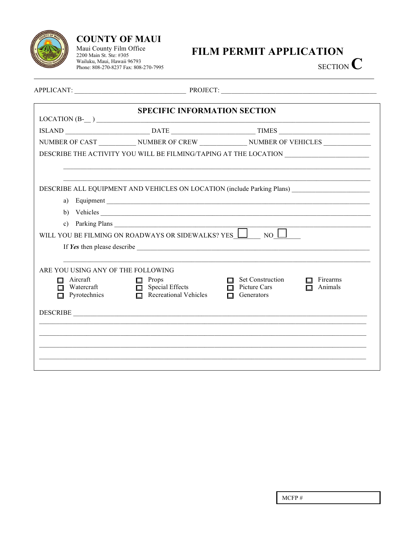

# **COUNTY OF MAUI**

Maui County Film Office<br>2200 Main St. Ste: #305<br>Wailuku, Maui, Hawaii 96793 Phone: 808-270-8237 Fax: 808-270-7995

# FILM PERMIT APPLICATION

SECTION  $\mathbb C$ 

|                                          | <b>SPECIFIC INFORMATION SECTION</b>                         |                                                                                             |
|------------------------------------------|-------------------------------------------------------------|---------------------------------------------------------------------------------------------|
|                                          | $LOCATION(B )$ $\qquad \qquad$                              |                                                                                             |
|                                          |                                                             |                                                                                             |
|                                          |                                                             | NUMBER OF CAST _____________ NUMBER OF CREW ______________ NUMBER OF VEHICLES _____________ |
|                                          |                                                             | DESCRIBE THE ACTIVITY YOU WILL BE FILMING/TAPING AT THE LOCATION ________________           |
|                                          |                                                             |                                                                                             |
|                                          |                                                             | DESCRIBE ALL EQUIPMENT AND VEHICLES ON LOCATION (include Parking Plans)                     |
| a)                                       |                                                             |                                                                                             |
|                                          |                                                             | b) Vehicles                                                                                 |
|                                          | c) Parking Plans                                            |                                                                                             |
|                                          | WILL YOU BE FILMING ON ROADWAYS OR SIDEWALKS? YES $\Box$ NO |                                                                                             |
|                                          |                                                             | If Yes then please describe <u>superior</u>                                                 |
|                                          |                                                             |                                                                                             |
| ARE YOU USING ANY OF THE FOLLOWING       |                                                             |                                                                                             |
| $\Box$ Aircraft                          | $\Box$ Props                                                | $\Box$ Set Construction<br>Firearms                                                         |
| $\Box$ Watercraft<br>$\Box$ Pyrotechnics | $\Box$ Special Effects<br>$\Box$ Recreational Vehicles      | $\Box$ Picture Cars<br>Animals<br>$\Box$<br>Generators<br>П                                 |
|                                          |                                                             |                                                                                             |
|                                          | DESCRIBE                                                    |                                                                                             |
|                                          |                                                             |                                                                                             |
|                                          |                                                             |                                                                                             |
|                                          |                                                             |                                                                                             |
|                                          |                                                             |                                                                                             |
|                                          |                                                             |                                                                                             |

 $MCFP#$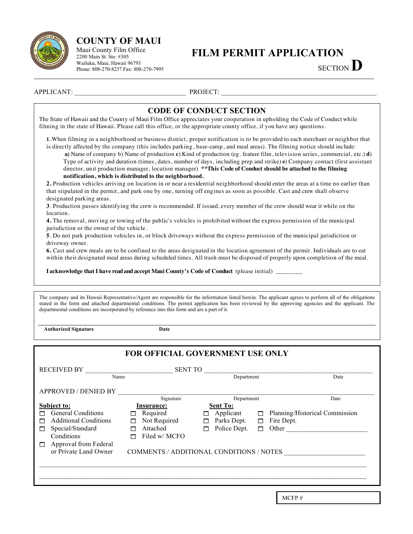

# **COUNTY OF MAUI**

Maui County Film Office 2200 Main St. Ste: #305 Wailuku, Maui, Hawaii 96793 Phone: 808-270-8237 Fax: 808-270-7995

# **FILM PERMIT APPLICATION**

SECTION **D**

APPLICANT: PROJECT:

## **CODE OF CONDUCT SECTION**

The State of Hawaii and the County of Maui Film Office appreciates your cooperation in upholding the Code of Conduct while filming in the state of Hawaii. Please call this office, or the appropriate county office, if you have any questions.

**1.** When filming in a neighborhood or business district, proper notification is to be provided to each merchant or neighbor that is directly affected by the company (this includes parking, base-camp, and meal areas). The filming notice should include:

 **a)** Name of company b) Name of production **c**) Kind of production (eg. feature film, television series, commercial, etc.) **d**) Type of activity and duration (times, dates, number of days, including prep and strike) **e**) Company contact (first assistant director, unit production manager, location manager) **\*\*This Code of Conduct should be attached to the filming notification, which is distributed to the neighborhood.**

**2.** Production vehicles arriving on location in or near a residential neighborhood should enter the areas at a time no earlier than that stipulated in the permit, and park one by one, turning off engines as soon as possible. Cast and crew shall observe designated parking areas.

**3**. Production passes identifying the crew is recommended. If issued, every member of the crew should wear it while on the location.

**4.** The removal, moving or towing of the public's vehicles is prohibited without the express permission of the municipal jurisdiction or the owner of the vehicle.

**5**. Do not park production vehicles in, or block driveways without the express permission of the municipal jurisdiction or driveway owner.

**6.** Cast and crew meals are to be confined to the areas designated in the location agreement of the permit. Individuals are to eat within their designated meal areas during scheduled times. All trash must be disposed of properly upon completion of the meal.

**I acknowledge that I have read and accept Maui County's Code of Conduct** (please initial) \_\_\_\_\_\_\_\_

The company and its Hawaii Representative/Agent are responsible for the information listed herein. The applicant agrees to perform all of the obligations stated in the form and attached departmental conditions. The permit application has been reviewed by the approving agencies and the applicant. The departmental conditions are incorporated by reference into this form and are a part of it.

 **Authorized Signature Date**

| <b>FOR OFFICIAL GOVERNMENT USE ONLY</b>                           |                    |                   |        |                                |  |  |  |  |
|-------------------------------------------------------------------|--------------------|-------------------|--------|--------------------------------|--|--|--|--|
| <b>RECEIVED BY</b>                                                | <b>SENT TO</b>     |                   |        |                                |  |  |  |  |
| Name                                                              |                    | Department        |        | Date                           |  |  |  |  |
| <b>APPROVED / DENIED BY</b>                                       |                    |                   |        |                                |  |  |  |  |
|                                                                   | Signature          | Department        |        | Date                           |  |  |  |  |
| <b>Subject to:</b>                                                | Insurance:         | <b>Sent To:</b>   |        |                                |  |  |  |  |
| <b>General Conditions</b>                                         | Required<br>п      | Applicant         | $\Box$ | Planning/Historical Commission |  |  |  |  |
| <b>Additional Conditions</b>                                      | Not Required<br>п  | Parks Dept.<br>п  | $\Box$ | Fire Dept.                     |  |  |  |  |
| Special/Standard<br>п                                             | Attached<br>$\Box$ | Police Dept.<br>ш | П      | Other                          |  |  |  |  |
| Conditions                                                        | Filed w/ MCFO      |                   |        |                                |  |  |  |  |
| Approval from Federal                                             |                    |                   |        |                                |  |  |  |  |
| or Private Land Owner<br>COMMENTS / ADDITIONAL CONDITIONS / NOTES |                    |                   |        |                                |  |  |  |  |
|                                                                   |                    |                   |        |                                |  |  |  |  |
|                                                                   |                    |                   |        |                                |  |  |  |  |
|                                                                   |                    |                   |        |                                |  |  |  |  |
|                                                                   |                    |                   |        |                                |  |  |  |  |

MCFP #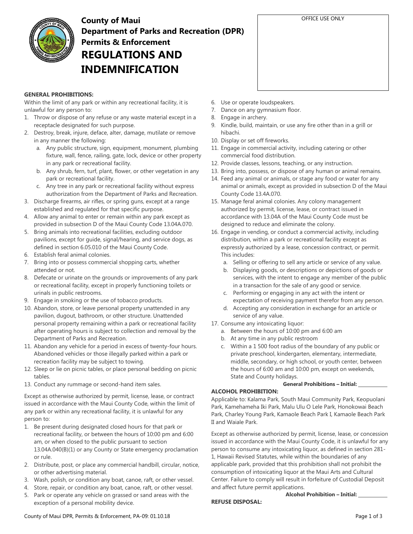

# **County of Maui Department of Parks and Recreation (DPR) Permits & Enforcement REGULATIONS AND INDEMNIFICATION**

### **GENERAL PROHIBITIONS:**

Within the limit of any park or within any recreational facility, it is unlawful for any person to:

- 1. Throw or dispose of any refuse or any waste material except in a receptacle designated for such purpose.
- 2. Destroy, break, injure, deface, alter, damage, mutilate or remove in any manner the following:
	- a. Any public structure, sign, equipment, monument, plumbing fixture, wall, fence, railing, gate, lock, device or other property in any park or recreational facility.
	- b. Any shrub, fern, turf, plant, flower, or other vegetation in any park or recreational facility.
	- c. Any tree in any park or recreational facility without express authorization from the Department of Parks and Recreation.
- 3. Discharge firearms, air rifles, or spring guns, except at a range established and regulated for that specific purpose.
- 4. Allow any animal to enter or remain within any park except as provided in subsection D of the Maui County Code 13.04A.070.
- 5. Bring animals into recreational facilities, excluding outdoor pavilions, except for guide, signal/hearing, and service dogs, as defined in section 6.05.010 of the Maui County Code.
- 6. Establish feral animal colonies.
- 7. Bring into or possess commercial shopping carts, whether attended or not.
- 8. Defecate or urinate on the grounds or improvements of any park or recreational facility, except in properly functioning toilets or urinals in public restrooms.
- 9. Engage in smoking or the use of tobacco products.
- 10. Abandon, store, or leave personal property unattended in any pavilion, dugout, bathroom, or other structure. Unattended personal property remaining within a park or recreational facility after operating hours is subject to collection and removal by the Department of Parks and Recreation.
- 11. Abandon any vehicle for a period in excess of twenty-four hours. Abandoned vehicles or those illegally parked within a park or recreation facility may be subject to towing.
- 12. Sleep or lie on picnic tables, or place personal bedding on picnic tables.
- 13. Conduct any rummage or second-hand item sales.

Except as otherwise authorized by permit, license, lease, or contract issued in accordance with the Maui County Code, within the limit of any park or within any recreational facility, it is unlawful for any person to:

- 1. Be present during designated closed hours for that park or recreational facility, or between the hours of 10:00 pm and 6:00 am, or when closed to the public pursuant to section 13.04A.040(B)(1) or any County or State emergency proclamation or rule.
- 2. Distribute, post, or place any commercial handbill, circular, notice, or other advertising material.
- 3. Wash, polish, or condition any boat, canoe, raft, or other vessel.
- 4. Store, repair, or condition any boat, canoe, raft, or other vessel.
- 5. Park or operate any vehicle on grassed or sand areas with the exception of a personal mobility device.
- 6. Use or operate loudspeakers.
- 7. Dance on any gymnasium floor.
- 8. Engage in archery.
- 9. Kindle, build, maintain, or use any fire other than in a grill or hibachi.
- 10. Display or set off fireworks.
- 11. Engage in commercial activity, including catering or other commercial food distribution.
- 12. Provide classes, lessons, teaching, or any instruction.
- 13. Bring into, possess, or dispose of any human or animal remains.
- 14. Feed any animal or animals, or stage any food or water for any animal or animals, except as provided in subsection D of the Maui County Code 13.4A.070.
- 15. Manage feral animal colonies. Any colony management authorized by permit, license, lease, or contract issued in accordance with 13.04A of the Maui County Code must be designed to reduce and eliminate the colony.
- 16. Engage in vending, or conduct a commercial activity, including distribution, within a park or recreational facility except as expressly authorized by a lease, concession contract, or permit. This includes:
	- a. Selling or offering to sell any article or service of any value.
	- b. Displaying goods, or descriptions or depictions of goods or services, with the intent to engage any member of the public in a transaction for the sale of any good or service.
	- c. Performing or engaging in any act with the intent or expectation of receiving payment therefor from any person.
	- d. Accepting any consideration in exchange for an article or service of any value.
- 17. Consume any intoxicating liquor:
	- a. Between the hours of 10:00 pm and 6:00 am
	- b. At any time in any public restroom
	- c. Within a 1 500 foot radius of the boundary of any public or private preschool, kindergarten, elementary, intermediate, middle, secondary, or high school, or youth center, between the hours of 6:00 am and 10:00 pm, except on weekends, State and County holidays.

```
General Prohibitions – Initial:
```
### **ALCOHOL PROHIBITION:**

Applicable to: Kalama Park, South Maui Community Park, Keopuolani Park, Kamehameha Iki Park, Malu Ulu O Lele Park, Honokowai Beach Park, Charley Young Park, Kamaole Beach Park I, Kamaole Beach Park II and Waiale Park.

Except as otherwise authorized by permit, license, lease, or concession issued in accordance with the Maui County Code, it is unlawful for any person to consume any intoxicating liquor, as defined in section 281- 1, Hawaii Revised Statutes, while within the boundaries of any applicable park, provided that this prohibition shall not prohibit the consumption of intoxicating liquor at the Maui Arts and Cultural Center. Failure to comply will result in forfeiture of Custodial Deposit and affect future permit applications.

**Alcohol Prohibition – Initial:** 

### **REFUSE DISPOSAL:**

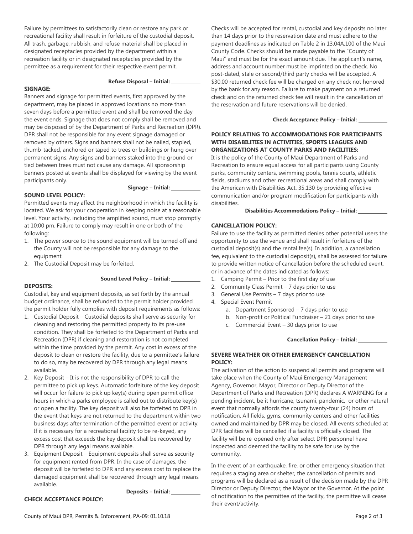Failure by permittees to satisfactorily clean or restore any park or recreational facility shall result in forfeiture of the custodial deposit. All trash, garbage, rubbish, and refuse material shall be placed in designated receptacles provided by the department within a recreation facility or in designated receptacles provided by the permittee as a requirement for their respective event permit.

#### **Refuse Disposal – Initial:**

#### **SIGNAGE:**

Banners and signage for permitted events, first approved by the department, may be placed in approved locations no more than seven days before a permitted event and shall be removed the day the event ends. Signage that does not comply shall be removed and may be disposed of by the Department of Parks and Recreation (DPR). DPR shall not be responsible for any event signage damaged or removed by others. Signs and banners shall not be nailed, stapled, thumb-tacked, anchored or taped to trees or buildings or hung over permanent signs. Any signs and banners staked into the ground or tied between trees must not cause any damage. All sponsorship banners posted at events shall be displayed for viewing by the event participants only.

#### **Signage – Initial:**

#### **SOUND LEVEL POLICY:**

Permitted events may affect the neighborhood in which the facility is located. We ask for your cooperation in keeping noise at a reasonable level. Your activity, including the amplified sound, must stop promptly at 10:00 pm. Failure to comply may result in one or both of the following:

- 1. The power source to the sound equipment will be turned off and the County will not be responsible for any damage to the equipment.
- 2. The Custodial Deposit may be forfeited.

#### **Sound Level Policy – Initial:**

#### **DEPOSITS:**

Custodial, key and equipment deposits, as set forth by the annual budget ordinance, shall be refunded to the permit holder provided the permit holder fully complies with deposit requirements as follows:

- 1. Custodial Deposit Custodial deposits shall serve as security for cleaning and restoring the permitted property to its pre-use condition. They shall be forfeited to the Department of Parks and Recreation (DPR) if cleaning and restoration is not completed within the time provided by the permit. Any cost in excess of the deposit to clean or restore the facility, due to a permittee's failure to do so, may be recovered by DPR through any legal means available.
- 2. Key Deposit It is not the responsibility of DPR to call the permittee to pick up keys. Automatic forfeiture of the key deposit will occur for failure to pick up key(s) during open permit office hours in which a parks employee is called out to distribute key(s) or open a facility. The key deposit will also be forfeited to DPR in the event that keys are not returned to the department within two business days after termination of the permitted event or activity. If it is necessary for a recreational facility to be re-keyed, any excess cost that exceeds the key deposit shall be recovered by DPR through any legal means available.
- 3. Equipment Deposit Equipment deposits shall serve as security for equipment rented from DPR. In the case of damages, the deposit will be forfeited to DPR and any excess cost to replace the damaged equipment shall be recovered through any legal means available.

**Deposits – Initial:** 

Checks will be accepted for rental, custodial and key deposits no later than 14 days prior to the reservation date and must adhere to the payment deadlines as indicated on Table 2 in 13.04A.100 of the Maui County Code. Checks should be made payable to the "County of Maui" and must be for the exact amount due. The applicant's name, address and account number must be imprinted on the check. No post-dated, stale or second/third party checks will be accepted. A \$30.00 returned check fee will be charged on any check not honored by the bank for any reason. Failure to make payment on a returned check and on the returned check fee will result in the cancellation of the reservation and future reservations will be denied.

#### **Check Acceptance Policy – Initial:**

### **POLICY RELATING TO ACCOMMODATIONS FOR PARTICIPANTS WITH DISABILITIES IN ACTIVITIES, SPORTS LEAGUES AND ORGANIZATIONS AT COUNTY PARKS AND FACILITIES:**

It is the policy of the County of Maui Department of Parks and Recreation to ensure equal access for all participants using County parks, community centers, swimming pools, tennis courts, athletic fields, stadiums and other recreational areas and shall comply with the American with Disabilities Act. 35.130 by providing effective communication and/or program modification for participants with disabilities.

#### **Disabilities Accommodations Policy – Initial:**

#### **CANCELLATION POLICY:**

Failure to use the facility as permitted denies other potential users the opportunity to use the venue and shall result in forfeiture of the custodial deposit(s) and the rental fee(s). In addition, a cancellation fee, equivalent to the custodial deposit(s), shall be assessed for failure to provide written notice of cancellation before the scheduled event, or in advance of the dates indicated as follows:

- 1. Camping Permit Prior to the first day of use
- 2. Community Class Permit 7 days prior to use
- 3. General Use Permits 7 days prior to use
- 4. Special Event Permit
	- a. Department Sponsored 7 days prior to use
	- b. Non-profit or Political Fundraiser 21 days prior to use
	- c. Commercial Event 30 days prior to use

#### **Cancellation Policy – Initial:**

#### **SEVERE WEATHER OR OTHER EMERGENCY CANCELLATION POLICY:**

The activation of the action to suspend all permits and programs will take place when the County of Maui Emergency Management Agency, Governor, Mayor, Director or Deputy Director of the Department of Parks and Recreation (DPR) declares A WARNING for a pending incident, be it hurricane, tsunami, pandemic, or other natural event that normally affords the county twenty-four (24) hours of notification. All fields, gyms, community centers and other facilities owned and maintained by DPR may be closed. All events scheduled at DPR facilities will be cancelled if a facility is officially closed. The facility will be re-opened only after select DPR personnel have inspected and deemed the facility to be safe for use by the community.

In the event of an earthquake, fire, or other emergency situation that requires a staging area or shelter, the cancellation of permits and programs will be declared as a result of the decision made by the DPR Director or Deputy Director, the Mayor or the Governor. At the point of notification to the permittee of the facility, the permittee will cease their event/activity.